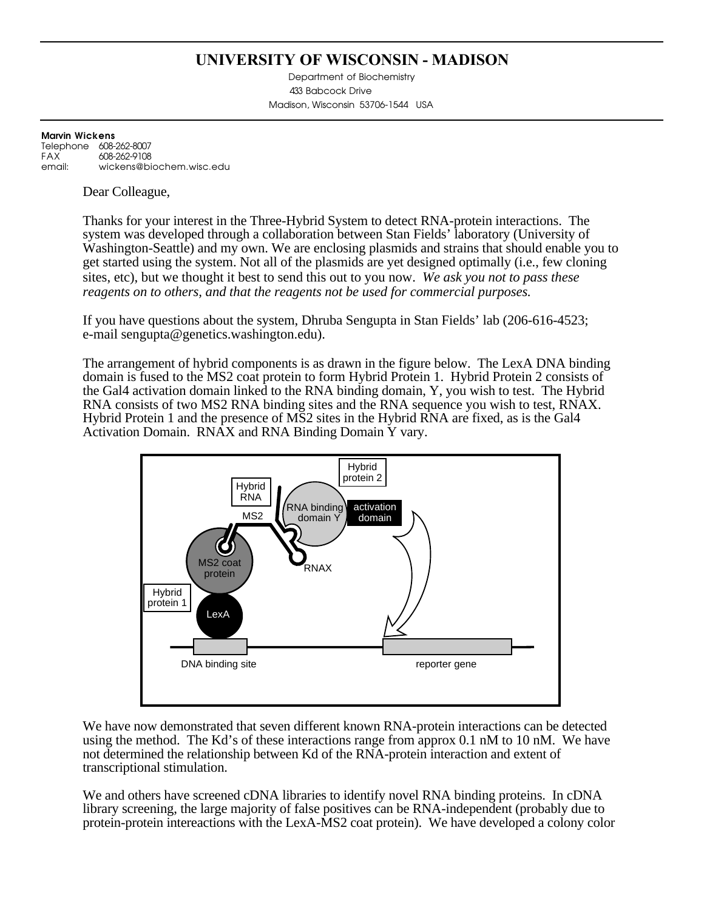### **UNIVERSITY OF WISCONSIN - MADISON**

Department of Biochemistry 433 Babcock Drive Madison, Wisconsin 53706-1544 USA

#### **Marvin Wickens** Telephone 608-262-8007<br>EAX 608-262-9108 608-262-9108 email: wickens@biochem.wisc.edu

Dear Colleague,

Thanks for your interest in the Three-Hybrid System to detect RNA-protein interactions. The system was developed through a collaboration between Stan Fields' laboratory (University of Washington-Seattle) and my own. We are enclosing plasmids and strains that should enable you to get started using the system. Not all of the plasmids are yet designed optimally (i.e., few cloning sites, etc), but we thought it best to send this out to you now. *We ask you not to pass these reagents on to others, and that the reagents not be used for commercial purposes.*

If you have questions about the system, Dhruba Sengupta in Stan Fields' lab (206-616-4523; e-mail sengupta@genetics.washington.edu).

The arrangement of hybrid components is as drawn in the figure below. The LexA DNA binding domain is fused to the MS2 coat protein to form Hybrid Protein 1. Hybrid Protein 2 consists of the Gal4 activation domain linked to the RNA binding domain, Y, you wish to test. The Hybrid RNA consists of two MS2 RNA binding sites and the RNA sequence you wish to test, RNAX. Hybrid Protein 1 and the presence of MS2 sites in the Hybrid RNA are fixed, as is the Gal4 Activation Domain. RNAX and RNA Binding Domain Y vary.



We have now demonstrated that seven different known RNA-protein interactions can be detected using the method. The Kd's of these interactions range from approx 0.1 nM to 10 nM. We have not determined the relationship between Kd of the RNA-protein interaction and extent of transcriptional stimulation.

We and others have screened cDNA libraries to identify novel RNA binding proteins. In cDNA library screening, the large majority of false positives can be RNA-independent (probably due to protein-protein intereactions with the LexA-MS2 coat protein). We have developed a colony color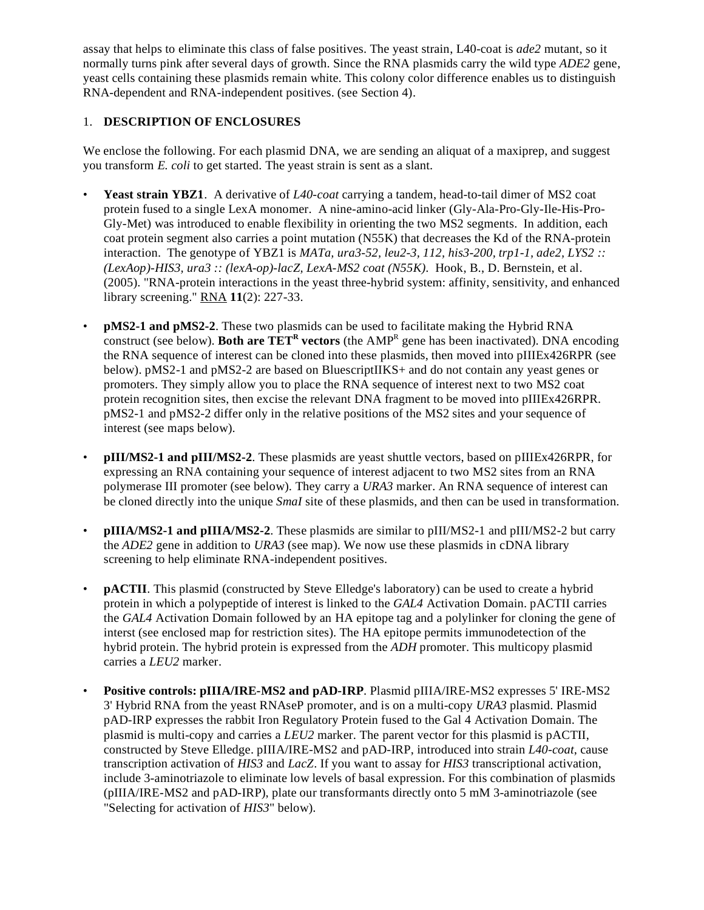assay that helps to eliminate this class of false positives. The yeast strain, L40-coat is *ade2* mutant, so it normally turns pink after several days of growth. Since the RNA plasmids carry the wild type *ADE2* gene, yeast cells containing these plasmids remain white. This colony color difference enables us to distinguish RNA-dependent and RNA-independent positives. (see Section 4).

#### 1. **DESCRIPTION OF ENCLOSURES**

We enclose the following. For each plasmid DNA, we are sending an aliquat of a maxiprep, and suggest you transform *E. coli* to get started. The yeast strain is sent as a slant.

- **Yeast strain YBZ1**. A derivative of *L40-coat* carrying a tandem, head-to-tail dimer of MS2 coat protein fused to a single LexA monomer. A nine-amino-acid linker (Gly-Ala-Pro-Gly-Ile-His-Pro-Gly-Met) was introduced to enable flexibility in orienting the two MS2 segments. In addition, each coat protein segment also carries a point mutation (N55K) that decreases the Kd of the RNA-protein interaction. The genotype of YBZ1 is *MATa, ura3-52, leu2-3, 112, his3-200, trp1-1, ade2, LYS2 :: (LexAop)-HIS3, ura3 :: (lexA-op)-lacZ, LexA-MS2 coat (N55K)*. Hook, B., D. Bernstein, et al. (2005). "RNA-protein interactions in the yeast three-hybrid system: affinity, sensitivity, and enhanced library screening." RNA **11**(2): 227-33.
- **pMS2-1 and pMS2-2**. These two plasmids can be used to facilitate making the Hybrid RNA construct (see below). **Both are TET<sup>R</sup> vectors** (the AMPR gene has been inactivated). DNA encoding the RNA sequence of interest can be cloned into these plasmids, then moved into pIIIEx426RPR (see below). pMS2-1 and pMS2-2 are based on BluescriptIIKS+ and do not contain any yeast genes or promoters. They simply allow you to place the RNA sequence of interest next to two MS2 coat protein recognition sites, then excise the relevant DNA fragment to be moved into pIIIEx426RPR. pMS2-1 and pMS2-2 differ only in the relative positions of the MS2 sites and your sequence of interest (see maps below).
- **pIII/MS2-1 and pIII/MS2-2**. These plasmids are yeast shuttle vectors, based on pIIIEx426RPR, for expressing an RNA containing your sequence of interest adjacent to two MS2 sites from an RNA polymerase III promoter (see below). They carry a *URA3* marker. An RNA sequence of interest can be cloned directly into the unique *SmaI* site of these plasmids, and then can be used in transformation.
- **pIIIA/MS2-1 and pIIIA/MS2-2**. These plasmids are similar to pIII/MS2-1 and pIII/MS2-2 but carry the *ADE2* gene in addition to *URA3* (see map). We now use these plasmids in cDNA library screening to help eliminate RNA-independent positives.
- **pACTII**. This plasmid (constructed by Steve Elledge's laboratory) can be used to create a hybrid protein in which a polypeptide of interest is linked to the *GAL4* Activation Domain. pACTII carries the *GAL4* Activation Domain followed by an HA epitope tag and a polylinker for cloning the gene of interst (see enclosed map for restriction sites). The HA epitope permits immunodetection of the hybrid protein. The hybrid protein is expressed from the *ADH* promoter. This multicopy plasmid carries a *LEU2* marker.
- **Positive controls: pIIIA/IRE-MS2 and pAD-IRP**. Plasmid pIIIA/IRE-MS2 expresses 5' IRE-MS2 3' Hybrid RNA from the yeast RNAseP promoter, and is on a multi-copy *URA3* plasmid. Plasmid pAD-IRP expresses the rabbit Iron Regulatory Protein fused to the Gal 4 Activation Domain. The plasmid is multi-copy and carries a *LEU2* marker. The parent vector for this plasmid is pACTII, constructed by Steve Elledge. pIIIA/IRE-MS2 and pAD-IRP, introduced into strain *L40-coat*, cause transcription activation of *HIS3* and *LacZ*. If you want to assay for *HIS3* transcriptional activation, include 3-aminotriazole to eliminate low levels of basal expression. For this combination of plasmids (pIIIA/IRE-MS2 and pAD-IRP), plate our transformants directly onto 5 mM 3-aminotriazole (see "Selecting for activation of *HIS3*" below).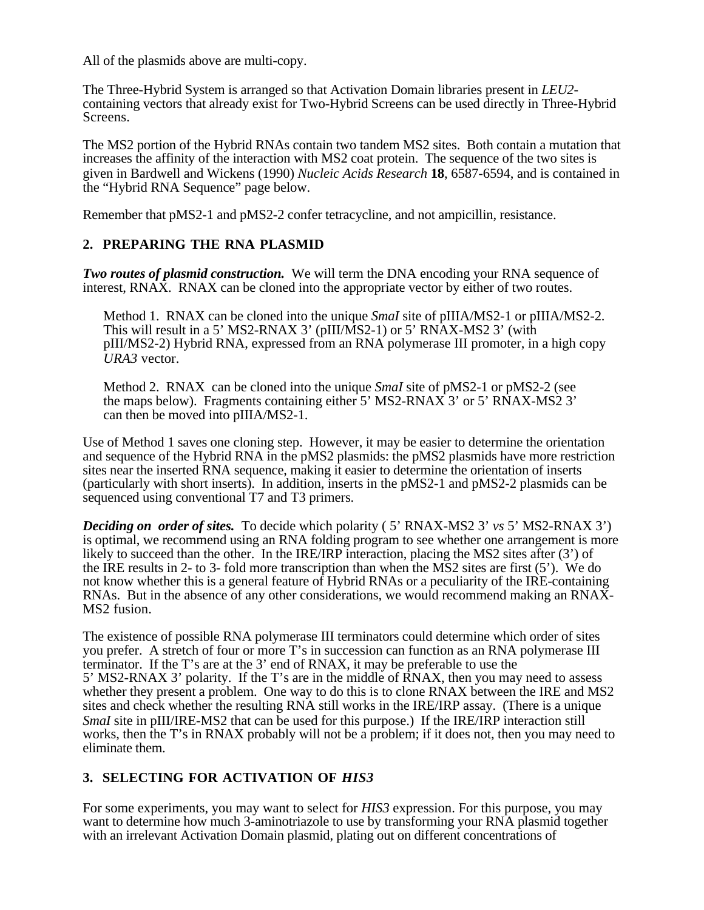All of the plasmids above are multi-copy.

The Three-Hybrid System is arranged so that Activation Domain libraries present in *LEU2* containing vectors that already exist for Two-Hybrid Screens can be used directly in Three-Hybrid Screens.

The MS2 portion of the Hybrid RNAs contain two tandem MS2 sites. Both contain a mutation that increases the affinity of the interaction with MS2 coat protein. The sequence of the two sites is given in Bardwell and Wickens (1990) *Nucleic Acids Research* **18**, 6587-6594, and is contained in the "Hybrid RNA Sequence" page below.

Remember that pMS2-1 and pMS2-2 confer tetracycline, and not ampicillin, resistance.

#### **2. PREPARING THE RNA PLASMID**

*Two routes of plasmid construction.* We will term the DNA encoding your RNA sequence of interest, RNAX. RNAX can be cloned into the appropriate vector by either of two routes.

Method 1. RNAX can be cloned into the unique *SmaI* site of pIIIA/MS2-1 or pIIIA/MS2-2. This will result in a 5' MS2-RNAX 3' (pIII/MS2-1) or 5' RNAX-MS2 3' (with pIII/MS2-2) Hybrid RNA, expressed from an RNA polymerase III promoter, in a high copy *URA3* vector.

Method 2. RNAX can be cloned into the unique *SmaI* site of pMS2-1 or pMS2-2 (see the maps below). Fragments containing either 5' MS2-RNAX 3' or 5' RNAX-MS2 3' can then be moved into pIIIA/MS2-1.

Use of Method 1 saves one cloning step. However, it may be easier to determine the orientation and sequence of the Hybrid RNA in the pMS2 plasmids: the pMS2 plasmids have more restriction sites near the inserted RNA sequence, making it easier to determine the orientation of inserts (particularly with short inserts). In addition, inserts in the pMS2-1 and pMS2-2 plasmids can be sequenced using conventional T7 and T3 primers.

*Deciding on order of sites.* To decide which polarity (5' RNAX-MS2 3' *vs* 5' MS2-RNAX 3') is optimal, we recommend using an RNA folding program to see whether one arrangement is more likely to succeed than the other. In the IRE/IRP interaction, placing the MS2 sites after (3') of the IRE results in 2- to 3- fold more transcription than when the MS2 sites are first (5'). We do not know whether this is a general feature of Hybrid RNAs or a peculiarity of the IRE-containing RNAs. But in the absence of any other considerations, we would recommend making an RNAX-MS2 fusion.

The existence of possible RNA polymerase III terminators could determine which order of sites you prefer. A stretch of four or more T's in succession can function as an RNA polymerase III terminator. If the T's are at the 3' end of RNAX, it may be preferable to use the 5' MS2-RNAX 3' polarity. If the T's are in the middle of RNAX, then you may need to assess whether they present a problem. One way to do this is to clone RNAX between the IRE and MS2 sites and check whether the resulting RNA still works in the IRE/IRP assay. (There is a unique *SmaI* site in pIII/IRE-MS2 that can be used for this purpose.) If the IRE/IRP interaction still works, then the T's in RNAX probably will not be a problem; if it does not, then you may need to eliminate them.

#### **3. SELECTING FOR ACTIVATION OF** *HIS3*

For some experiments, you may want to select for *HIS3* expression. For this purpose, you may want to determine how much 3-aminotriazole to use by transforming your RNA plasmid together with an irrelevant Activation Domain plasmid, plating out on different concentrations of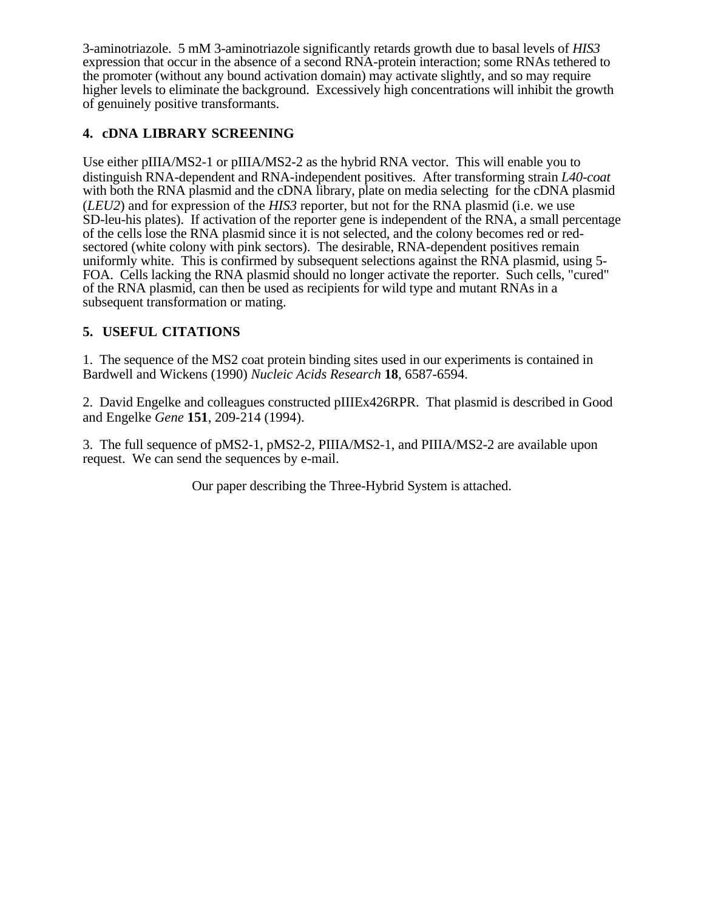3-aminotriazole. 5 mM 3-aminotriazole significantly retards growth due to basal levels of *HIS3* expression that occur in the absence of a second RNA-protein interaction; some RNAs tethered to the promoter (without any bound activation domain) may activate slightly, and so may require higher levels to eliminate the background. Excessively high concentrations will inhibit the growth of genuinely positive transformants.

#### **4. cDNA LIBRARY SCREENING**

Use either pIIIA/MS2-1 or pIIIA/MS2-2 as the hybrid RNA vector. This will enable you to distinguish RNA-dependent and RNA-independent positives. After transforming strain *L40-coat* with both the RNA plasmid and the cDNA library, plate on media selecting for the cDNA plasmid (*LEU2*) and for expression of the *HIS3* reporter, but not for the RNA plasmid (i.e. we use SD-leu-his plates). If activation of the reporter gene is independent of the RNA, a small percentage of the cells lose the RNA plasmid since it is not selected, and the colony becomes red or redsectored (white colony with pink sectors). The desirable, RNA-dependent positives remain uniformly white. This is confirmed by subsequent selections against the RNA plasmid, using 5- FOA. Cells lacking the RNA plasmid should no longer activate the reporter. Such cells, "cured" of the RNA plasmid, can then be used as recipients for wild type and mutant RNAs in a subsequent transformation or mating.

#### **5. USEFUL CITATIONS**

1. The sequence of the MS2 coat protein binding sites used in our experiments is contained in Bardwell and Wickens (1990) *Nucleic Acids Research* **18**, 6587-6594.

2. David Engelke and colleagues constructed pIIIEx426RPR. That plasmid is described in Good and Engelke *Gene* **151**, 209-214 (1994).

3. The full sequence of pMS2-1, pMS2-2, PIIIA/MS2-1, and PIIIA/MS2-2 are available upon request. We can send the sequences by e-mail.

Our paper describing the Three-Hybrid System is attached.